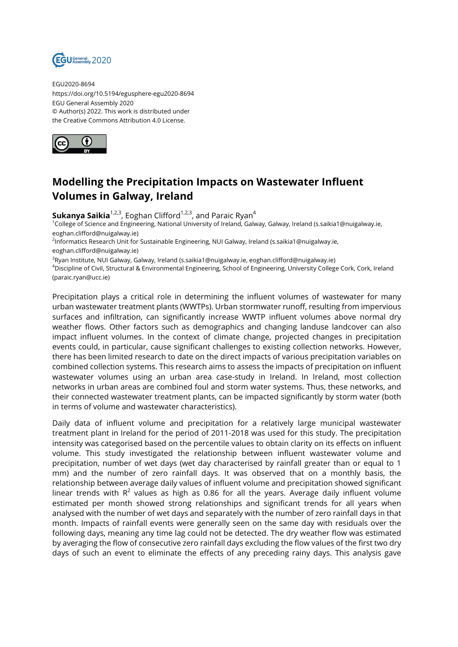

EGU2020-8694 https://doi.org/10.5194/egusphere-egu2020-8694 EGU General Assembly 2020 © Author(s) 2022. This work is distributed under the Creative Commons Attribution 4.0 License.



## **Modelling the Precipitation Impacts on Wastewater Influent Volumes in Galway, Ireland**

**Sukanya Saikia**<sup>1,2,3</sup>, Eoghan Clifford<sup>1,2,3</sup>, and Paraic Ryan<sup>4</sup>

<sup>1</sup>College of Science and Engineering, National University of Ireland, Galway, Galway, Ireland (s.saikia1@nuigalway.ie, eoghan.clifford@nuigalway.ie)

<sup>2</sup>Informatics Research Unit for Sustainable Engineering, NUI Galway, Ireland (s.saikia1@nuigalway.ie, eoghan.clifford@nuigalway.ie)

 $^3$ Ryan Institute, NUI Galway, Galway, Ireland (s.saikia1@nuigalway.ie, eoghan.clifford@nuigalway.ie) <sup>4</sup>Discipline of Civil, Structural & Environmental Engineering, School of Engineering, University College Cork, Cork, Ireland (paraic.ryan@ucc.ie)

Precipitation plays a critical role in determining the influent volumes of wastewater for many urban wastewater treatment plants (WWTPs). Urban stormwater runoff, resulting from impervious surfaces and infiltration, can significantly increase WWTP influent volumes above normal dry weather flows. Other factors such as demographics and changing landuse landcover can also impact influent volumes. In the context of climate change, projected changes in precipitation events could, in particular, cause significant challenges to existing collection networks. However, there has been limited research to date on the direct impacts of various precipitation variables on combined collection systems. This research aims to assess the impacts of precipitation on influent wastewater volumes using an urban area case-study in Ireland. In Ireland, most collection networks in urban areas are combined foul and storm water systems. Thus, these networks, and their connected wastewater treatment plants, can be impacted significantly by storm water (both in terms of volume and wastewater characteristics).

Daily data of influent volume and precipitation for a relatively large municipal wastewater treatment plant in Ireland for the period of 2011-2018 was used for this study. The precipitation intensity was categorised based on the percentile values to obtain clarity on its effects on influent volume. This study investigated the relationship between influent wastewater volume and precipitation, number of wet days (wet day characterised by rainfall greater than or equal to 1 mm) and the number of zero rainfall days. It was observed that on a monthly basis, the relationship between average daily values of influent volume and precipitation showed significant linear trends with  $R^2$  values as high as 0.86 for all the years. Average daily influent volume estimated per month showed strong relationships and significant trends for all years when analysed with the number of wet days and separately with the number of zero rainfall days in that month. Impacts of rainfall events were generally seen on the same day with residuals over the following days, meaning any time lag could not be detected. The dry weather flow was estimated by averaging the flow of consecutive zero rainfall days excluding the flow values of the first two dry days of such an event to eliminate the effects of any preceding rainy days. This analysis gave